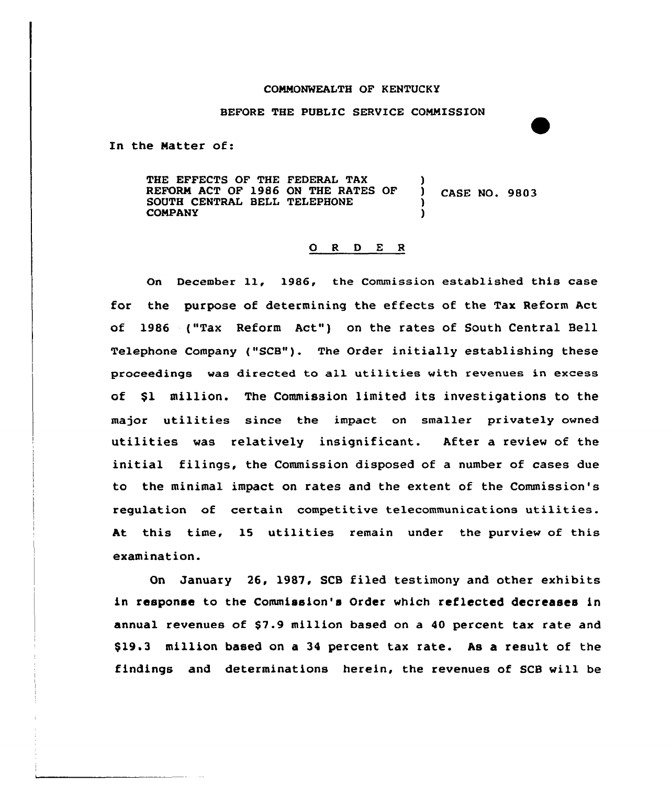#### CONNONWEALTH OF KENTUCKY

#### BEFORE THE PUBLIC SERYICE CONNISSION

In the Matter of:

THE EFFECTS OF THE FEDERAL TAX (1)<br>REFORM ACT OF 1986 ON THE RATES OF REFORM ACT OF 1986 ON THE RATES OF  $($   $)$  CASE NO. 9803 SOUTH CENTRAL BELL TELEPHONE )<br>COMPANY **COMPANY** 

#### 0 <sup>R</sup> <sup>D</sup> E <sup>R</sup>

On December 11, 19S6, the Commission established this case for the purpose of determining the effects of the Tax Reform Act of 1986 ("Tax Reform Act") on the rates of South Central Bell Telephone Company ("SCB"). The Order initially establishing these proceedings was directed to all utilities with revenues in excess of \$1 million. The Commission limited its investigations to the major utilities since the impact on smaller privately owned utilities was relatively insignificant. After a review of the initial filings, the Commission disposed of a number of cases due to the minimal impact on rates and the extent of the Commission's regulation of certain competitive telecommunications utilities. At this time, 15 utilities remain under the purview of this examination.

On January 26, 1987, SCB filed testimony and other exhibits in response to the Commission's Order which reflected decreases in annual revenues of \$7.9 million based on a 40 percent tax rate and \$19,3 million based on a 34 percent tax rate. As a result of the findings and determinations herein, the revenues of SCB will be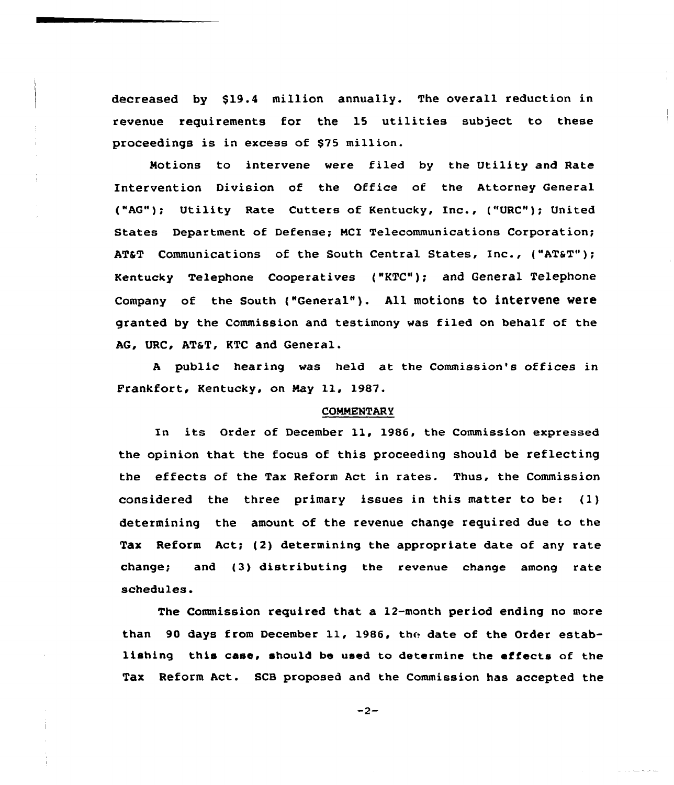decreased by \$19.4 million annually. The overall reduction in revenue requirements for the 15 utilities subject to these proceedings is in excess of \$75 million.

Motions to intervene vere filed by the Utility and Rate Intervention Division of the Office of the Attorney General ("AG"); Utility Rate Cutters of Kentucky, Inc., ("URC"); United States Department of Defense; MCI Telecommunications Corporation; AT&T Communications of the South Central States, Inc., ("AT&T"); Kentucky Telephone Cooperatives ("KTC"); and General Telephone Company of the South ("General"). All motions to intervene were granted by the Commission and testimony was filed on behalf of the AG, URC, AT&T, KTC and General.

<sup>A</sup> public hearing was held at the Commission's offices in Frankfort, Kentucky, on May 11, 1987.

#### COMMENTARY

In its Order of December ll, 1986, the Commission expressed the opinion that the focus of this proceeding should be reflecting the effects of the Tax Reform Act in rates. Thus, the Commission considered the three primary issues in this matter to be: (1) determining the amount of the revenue change required due to the Tax Reform Act; (2) determining the appropriate date of any rate change; and (3) distributing the revenue change among rate schedules.

The Commission required that a 12-month period ending no more than 90 days from December 11, 1986, the date of the Order establishing this case, should be used to determine the effects of the Tax Reform Act. SCB proposed and the Commission has accepted the

 $-2-$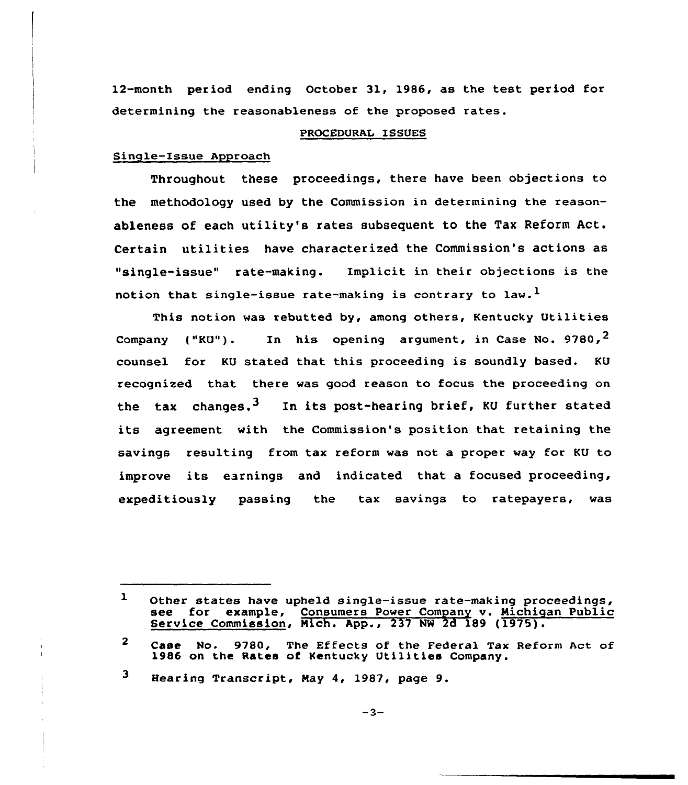12-month period ending October 31, 1986, as the test period for determining the reasonableness of the proposed rates.

#### PROCEDURAL ISSUES

## Single-Issue Approach

Throughout these proceedings, there have been objections to the methodology used by the Commission in determining the reasonableness of each utility's rates subsequent to the Tax Reform Act. Certain utilities have characterized the Commission's actions as "single-issue" rate-making. Implicit in their objections is the notion that single-issue rate-making is contrary to law.<sup>1</sup>

This notion was rebutted by, among others, Kentucky Utilities Company ("KU"). In his opening argument, in Case No. 9780,  $2$ counsel for KU stated that this proceeding is soundly based. KU recognized that there was good reason to focus the proceeding on the tax changes.<sup>3</sup> In its post-hearing brief, KU further stated its agreement with the Commission's position that retaining the savings resulting from tax reform was not a proper way for KU to improve its earnings and indicated that <sup>a</sup> focused proceeding, expeditiously passing the tax savings to ratepayers, was

3 Hearing Transcript, May 4, 1987, page 9.

<sup>1</sup> Other states have upheld single-issue rate-making proceedings, see for example, Consumers Power Company v. Michigan Public<br>Service Commission, Mich. App., 237 NW 2d 189 (1975).

 $\mathbf{2}$ Case No. 9780, The Effects of the Federal Tax Reform Act of 1986 on the Rates of Kentucky Utilities Company.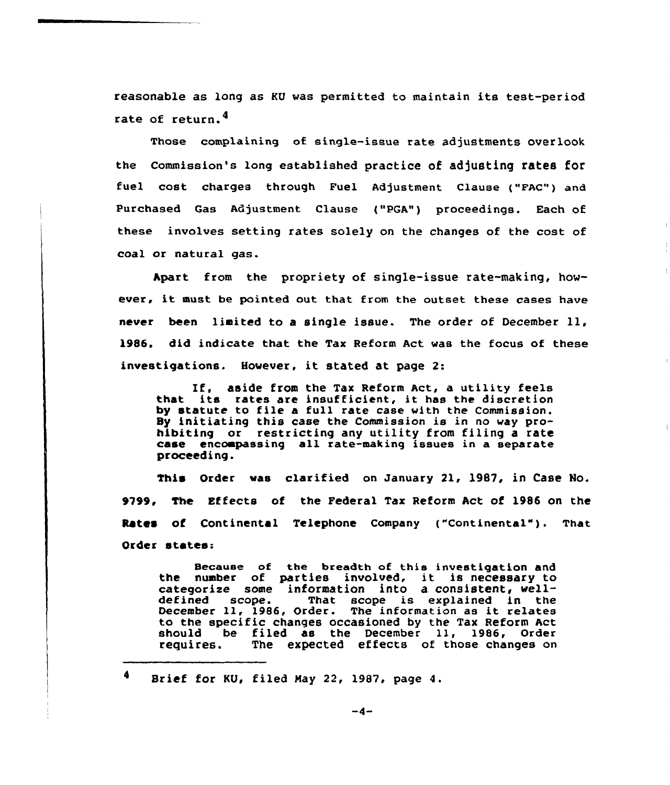reasonable as long as KU was permitted to maintain its test-period rate of return.

Those complaining of single-issue rate adjustments overlook the Commission's long established practice of adjusting rates for fuel cost charges through Fuel Adjustment clause ("FAc") and Purchased Gas Adjustment Clause {"PGA") proceedings. Each of these involves setting rates solely on the changes of the cost of coal or natural gas.

Apart from the propriety of single-issue rate-making, however, it must be pointed out that from the outset these cases have never been limited to <sup>a</sup> single issue. The order of December ll, 1986. did indicate that the Tax Reform Act was the focus of these investigations. However, it stated at page 2:

If, aside from the Tax Reform Act, <sup>a</sup> utility feels that its rates are insufficient, it has the discretion by statute to file <sup>a</sup> full rate case with the Commission. Sy initiating this case the Commission is in no way prohibiting or restricting any utility from filing a rate case encompassing all rate-making issues in a separate proceeding.

This Order was clarified on January 21, 1987, in Case No. 9799, The Effects of the Federal Tax Reform Act of l986 on the Rates of Continental Telephone Company ("Continental"). That Order states:

Because of the breadth of this investigation and the number of parties involved, it is necessary to categorize some information into a consistent, well-<br>defined scope. That scope is explained in the That scope is explained in the December 11, 1986, Order. The information as it relates to the specific changes occasioned by the Tax Reform Act<br>should be filed as the December 11, 1986, Order should be filed as the December 11, 1986, Order<br>requires. The expected effects of those changes on The expected effects of those changes on

 $\blacklozenge$ Brief for KU, filed Nay 22, 1987, page 4.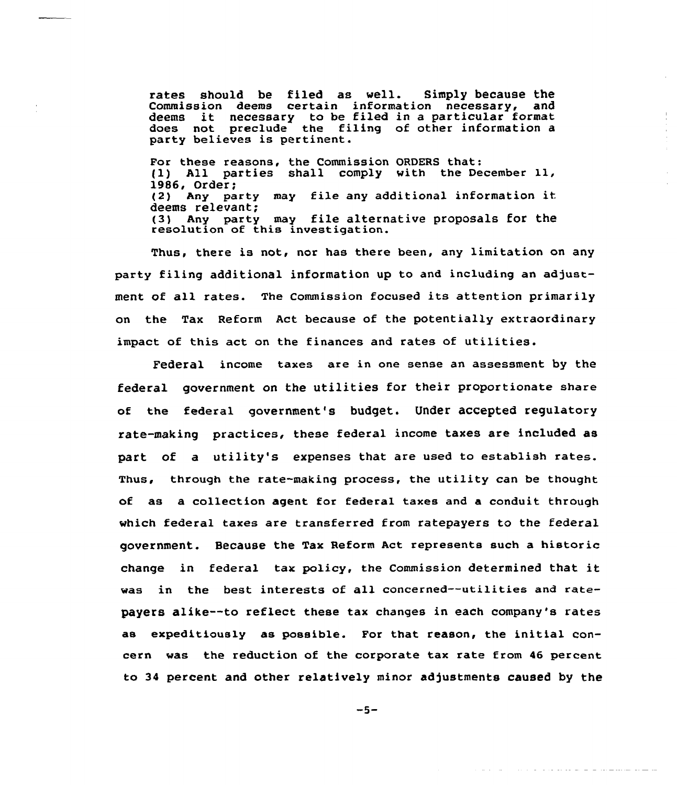rates should be filed as well. Simply because the Commission deems certain information necessary, and deems it necessary to be filed in <sup>a</sup> particular format does not preclude the filing of other information a party believes is pertinent.

 $\bar{\alpha}$ 

For these reasons, the Commission ORDERS that: (1) All parties shall comply with the December ll, 1986, Order;<br>(2) Any pa Any party may file any additional information it deems relevant; (3) Any party may file alternative proposals for the resolution of this investigation.

Thus, there is not, nor has there been, any limitation on any party filing additional information up to and including an adjustment of all rates. The Commission focused its attention primarily on the Tax Reform Act because of the potentially extraordinary impact of this act on the finances and rates of utilities.

Federal income taxes are in one sense an assessment by the federal government on the utilities for their proportionate share of the federal government's budget. Under accepted regulatory rate-making practices, these federal income taxes are included as part of a utility's expenses that are used to establish rates. Thus, through the rate-making process, the utility can be thought of as a collection agent for federal taxes and a conduit through which federal taxes are transferred from ratepayers to the federal government. Because the Tax Reform Act represents such a historic change in federal tax policy, the Commission determined that it was in the best interests of all concerned--utilities and ratepayers alike--to reflect these tax changes in each company's rates as expeditiously as possible. For that reason, the initial concern was the reduction of the corporate tax rate from A6 percent to 34 percent and other relatively minor adjustments caused by the

 $-5-$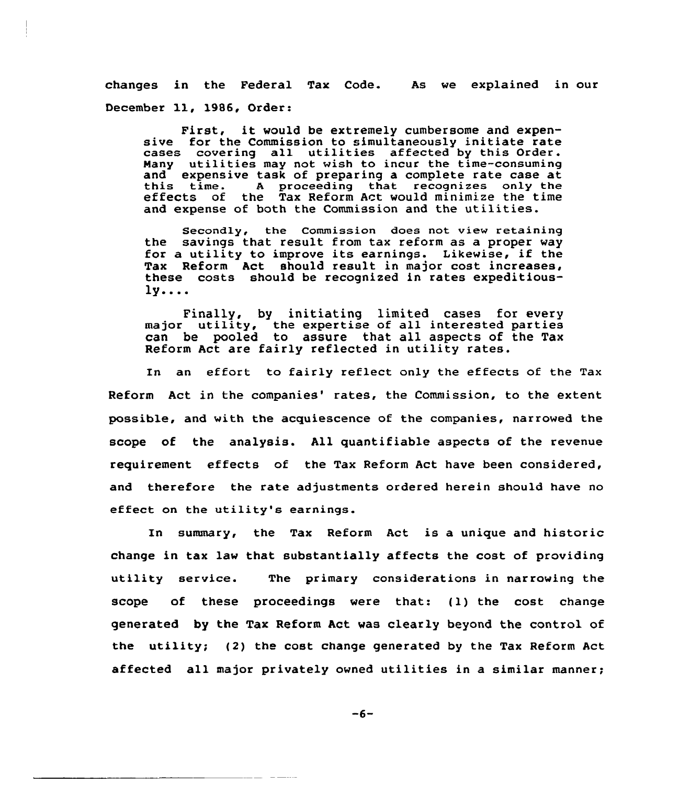changes in the Federal Tax Code. As we explained in our December 11, 1986, Order:

First, it would be extremely cumbersome and expensive for the Commission to simultaneously initiate rate cases covering all utilities affected by this Order. Many utilities may not wish to incur the time-consuming and expensive task of preparing <sup>a</sup> complete rate case at this time. <sup>A</sup> proceeding that recognizes only the effects of the Tax Reform Act would minimize the time and expense of both the Commission and the utilities.

Secondly, the Commission does not view retaining the savings that result from tax reform as a proper way for a utility to improve its earnings. Likewise, if the Tax Reform Act should result in major cost increases, these costs should be recognized in rates expeditious- $1y...$ 

Finally, by initiating limited cases for every major utility, the expertise of all interested parties can be pooled to assure that all aspects of the Tax Reform Act are fairly reflected in utility rates.

In an effort to fairly reflect only the effects of the Tax Reform Act in the companies' rates, the Commission, to the extent possible, and with the acquiescence of the companies, narrowed the scope of the analysis. All quantifiable aspects of the revenue requirement effects of the Tax Reform Act have been considered, and therefore the rate adjustments ordered herein should have no effect on the utility's earnings.

In summary, the Tax Reform Act is a unique and historic change in tax law that substantially affects the cost of providing utility service. The primary considerations in narrowing the scope of these proceedings were that: (1) the cost change generated by the Tax Reform Act was clearly beyond the control of the utility; (2) the cost change generated by the Tax Reform Act affected all major privately owned utilities in a similar manner;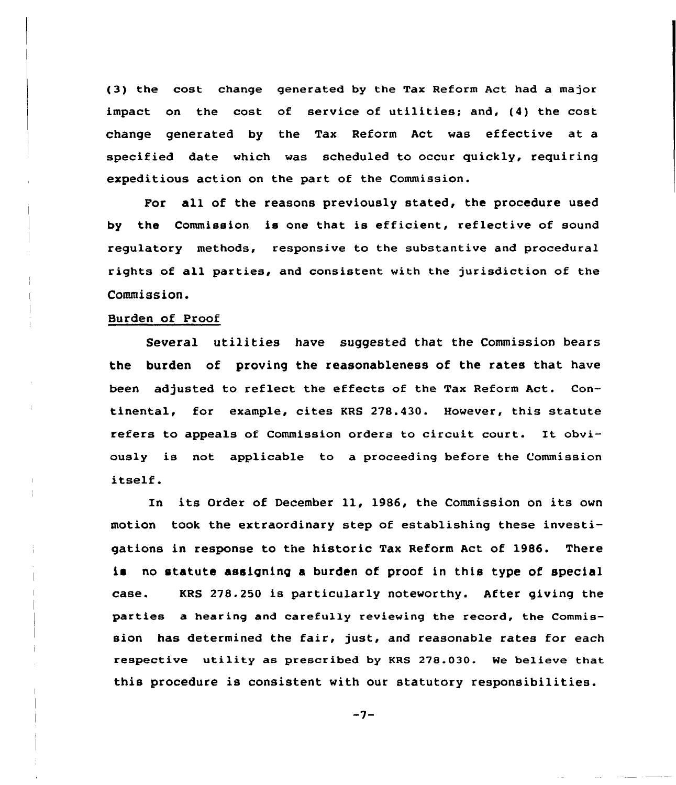(3) the cost change generated by the Tax Reform Act had a major impact on the cost of service of utilities; and, (4) the cost change generated by the Tax Reform Act was effective at a specified date which was scheduled to occur quickly, requiring expeditious action on the part of the Commission.

For all of the reasons previously stated, the procedure used by the Commission is one that is efficient, reflective of sound regulatory methods, responsive to the substantive and procedural rights of all parties, and consistent with the jurisdiction of the Commission.

### Burden of Proof

Severa1 utilities have suggested that the Commission bears the burden of proving the reasonableness of the rates that have been adjusted to reflect the effects of the Tax Reform Act. Continental, for example, cites KRS 278.430. However, this statute refers to appeals of Commission orders to circuit court. It obviously is not applicable to a proceeding before the Commission itself.

In its Order of December ll, 1986, the Commission on its own motion took the extraordinary step of establishing these investigations in response to the historic Tax Reform Act of 1986. There is no statute assigning a burden of proof in this type of special case. KRS 278.250 is particularly noteworthy. After giving the parties a hearing and carefully reviewing the record, the Commission has determined the fair, just, and reasonable rates for each respective utility as prescribed by KRS 278.030. We believe that this procedure is consistent with our statutory responsibilities.

 $-7-$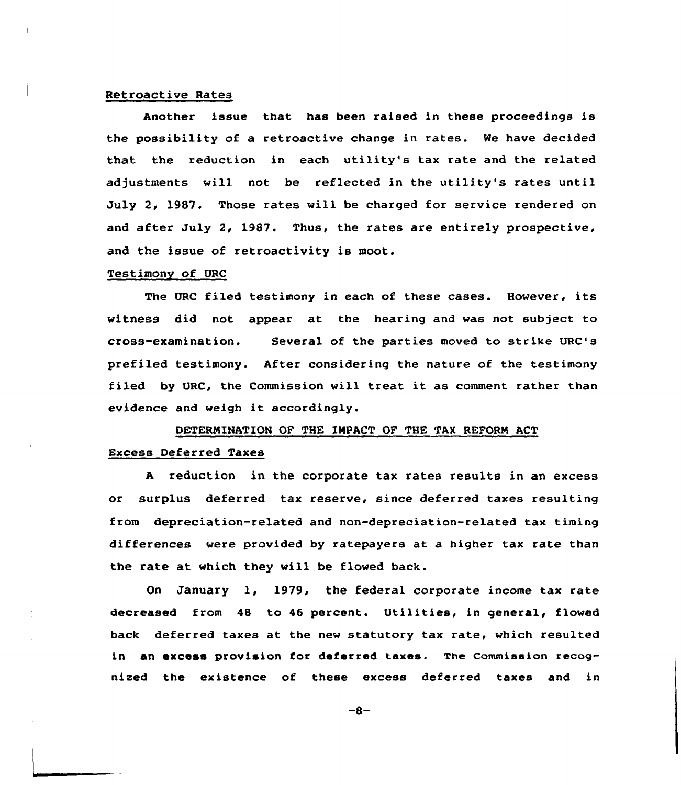#### Retroactive Rates

Another issue that has been raised in these proceedings is the possibility of a retroactive change in rates. We have decided that the reduction in each utility's tax rate and the related adjustments will not be reflected in the utility's rates until July 2, 1987. Those rates will be charged for service rendered on and after July 2, 1987. Thus, the rates are entirely prospective, and the issue of retroactivity is moot.

#### Testimony of URC

The VRC filed testimony in each of these cases. However, its witness did not appear at the hearing and was not subject to cross-examination. Several of the parties moved to strike URC's prefiled testimony. After considering the nature of the testimony filed by URC, the Commission will treat it as comment rather than evidence and weigh it accordingly.

# DETERNINATION OF THE IMPACT OF THE TAX REFORM ACT Excess Deferred Taxes

<sup>A</sup> reduction in the corporate tax rates results in an excess or surplus deferred tax reserve, since deferred taxes resulting from depreciation-related and non-depreciation-related tax timing differences were provided by ratepayers at a higher tax rate than the rate at vhich they vill be flowed back.

On January 1, 1979, the federal corporate income tax rate decreased from 48 to 46 percent. Utilities, in general, flowed back deferred taxes at the new statutory tax rate, which resulted in an excess provision for deferred taxes. The commission recognized the existence of these excess deferred taxes and in

 $-8-$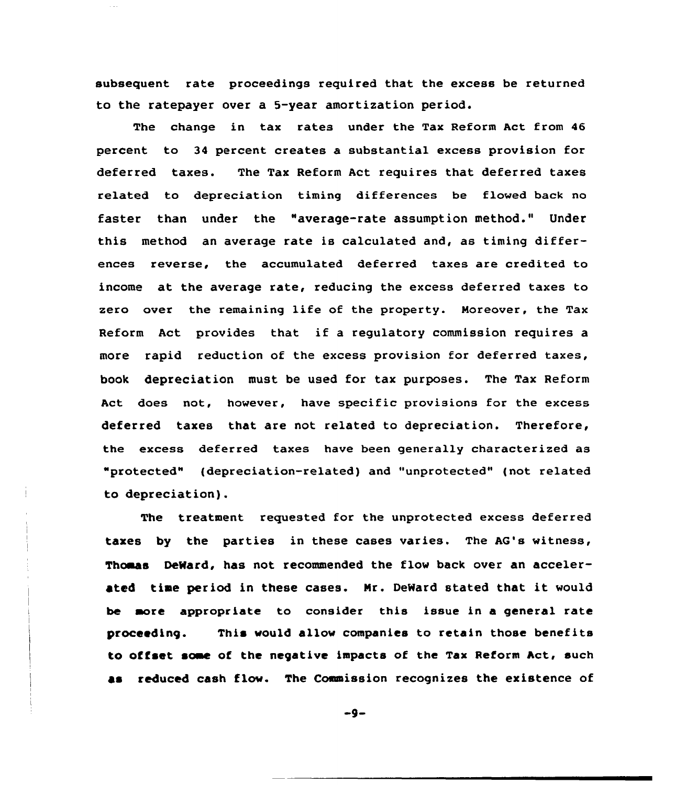subsequent rate proceedings required that the excess be returned to the ratepayer over a 5-year amortization period.

The change in tax rates under the Tax Reform Act from 46 percent to 34 percent creates a substantial excess provision for deferred taxes. The Tax Reform Act requires that deferred taxes related to depreciation timing differences be flowed back no faster than under the "average-rate assumption method." Under this method an average rate is calculated and, as timing differences reverse, the accumulated deferred taxes are credited to income at the average rate, reducing the excess deferred taxes to zero over the remaining life of the property. Moreover, the Tax Reform Act provides that if <sup>a</sup> regulatory commission requires <sup>a</sup> more rapid reduction of the excess provision for deferred taxes, book depreciation must be used for tax purposes. The Tax Reform Act does not, however, have specific provisions for the excess deferred taxes that are not related to depreciation. Therefore, the excess deferred taxes have been generally characterized as "protected" (depreciation-related) and "unprotected" (not related to depreciation).

The treatment requested for the unprotected excess deferred taxes by the parties in these cases varies. The AG's witness, Thomas DeWard, has not recommended the flow back over an accelerated time period in these cases. Nr. DeWard stated that it would be more appropriate to consider this issue in a general rate proceeding. This would allow companies to retain those benefits to offset soae of the negative impacts of the Tax Reform Act, such aa reduced cash flow. The Commission recognizes the existence of

 $-9-$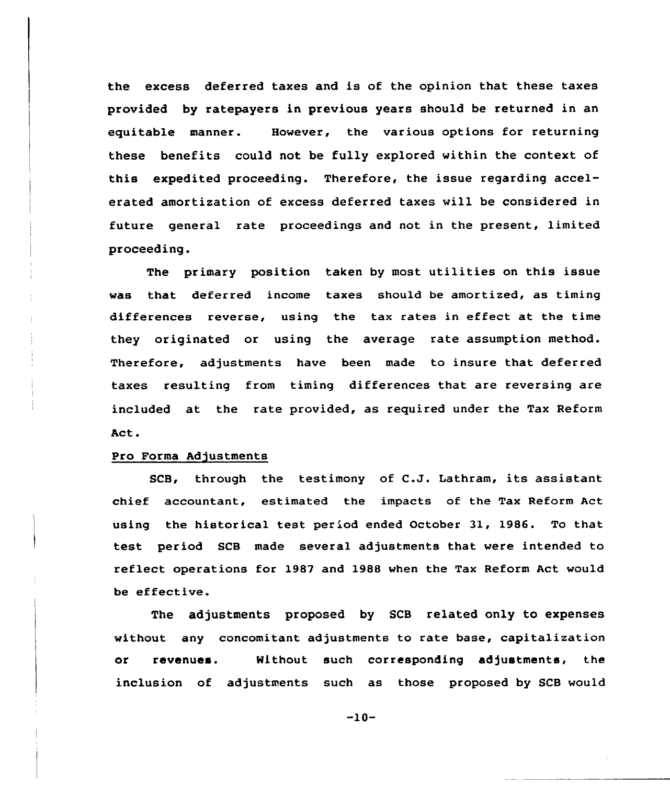the excess deferred taxes and is of the opinion that these taxes provided by ratepayers in previous years should be returned in an equitable manner. However, the various options for returning these benefits could not be fully explored within the context of this expedited proceeding. Therefore, the issue regarding accelerated amortization of excess deferred taxes will be considered in future general rate proceedings and not in the present, limited proceeding.

The primary position taken by most utilities on this issue was that deferred income taxes should be amortized, as timing differences reverse, using the tax rates in effect at the time they originated or using the average rate assumption method. Therefore, adjustments have been made to insure that deferred taxes resulting from timing differences that are reversing are included at the rate provided, as required under the Tax Reform Act.

#### Pro Forma Adjustments

SCB, through the testimony of C.J. Lathram, its assistant chief accountant, estimated the impacts of the Tax Reform Act using the historical test period ended October 31, 1986. To that test period SCB made several adjustments that were intended to reflect operations for 1987 and 1988 when the Tax Reform Act would be effective.

The adjustments proposed by SCB related only to expenses without any concomitant adjustments to rate base, capitalization or revenues. Nithout such corresponding adjustments, the inclusion of adjustments such as those proposed by SCB would

 $-10-$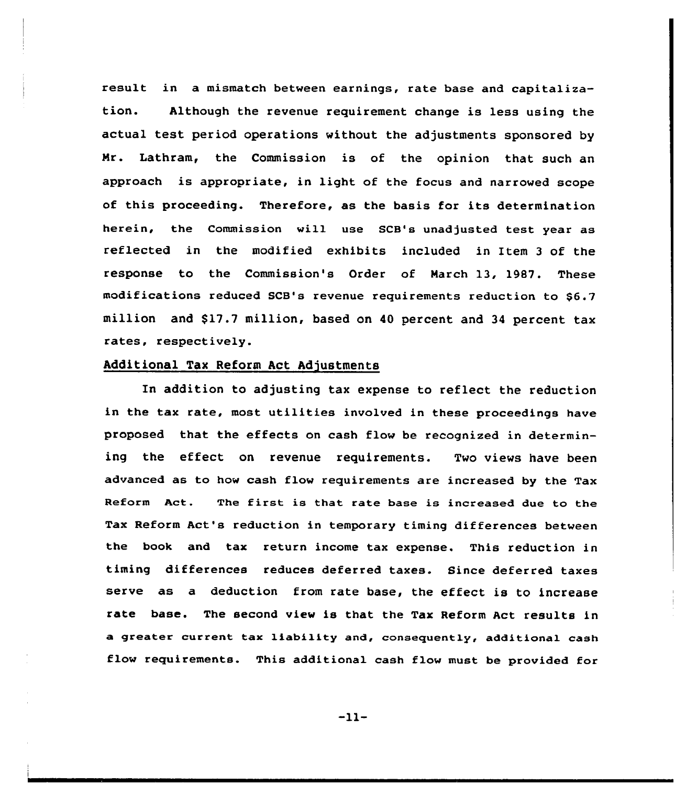result in a mismatch between earnings, rate base and capitalization. Although the revenue requirement change is less using the actual test period operations without the adjustments sponsored by Nr. Lathram, the Commission is of the opinion that such an approach is appropriate, in light of the focus and narrowed scope of this proceeding. Therefore, as the basis for its determination herein, the Commission vill use SCB's unadjusted test year as reflected in the modified exhibits included in Item <sup>3</sup> of the response to the Commission's Order of March 13, 1987. These modifications reduced SCB's revenue requirements reduction to \$6.7 million and \$17.7 million, based on 40 percent and 34 percent tax rates, respectively.

# Additional Tax Reform Act Adjustments

In addition to adjusting tax expense to reflect the reduction in the tax rate, most utilities involved in these proceedings have proposed that the effects on cash flow be recognized in determining the effect on revenue requirements. Two views have been advanced as to how cash flow requirements are increased by the Tax Reform Act. The first is that rate base is increased due to the Tax Reform Act's reduction in temporary timing differences between the book and tax return income tax expense. This reduction in timing differences reduces deferred taxes. Since deferred taxes serve as a deduction from rate base, the effect is to increase rate base. The second view is that the Tax Reform Act results in a greater current tax liability and, consequently, additional cash flow requirements. This additional cash flow must be provided for

 $-11-$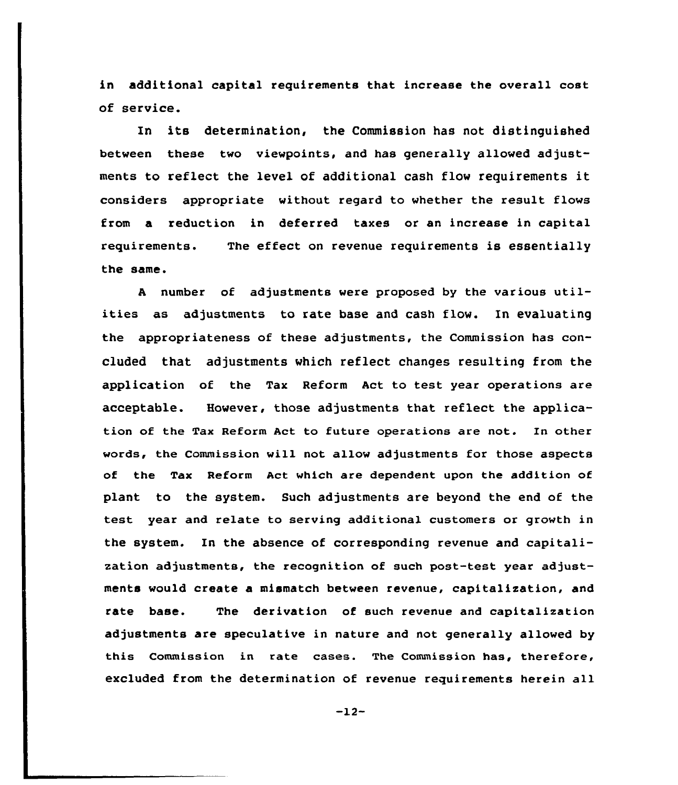in additional capital requirements that increase the overall cost of service.

In its determination, the Commission has not distinguished between these two viewpoints, and has generally allowed adjustments to reflect the level of additional cash flow requirements it considers appropriate without regard to whether the result flows from a reduction in deferred taxes or an increase in capital requirements. The effect an revenue requirements is essentially the same.

<sup>A</sup> number of adjustments were propased by the various utilities as adjustments to rate base and cash flow. In evaluating the appropriateness of these adjustments, the Commission has concluded that adjustments which reflect changes resulting from the application of the Tax Reform Act to test year operations are acceptable. However, those adjustments that reflect the application of the Tax Reform Act to future operations are not. In other words, the Cammission will not allow adjustments for those aspects of the Tax Reform Act which are dependent upon the addition of plant to the system. Such adjustments are beyond the end of the test year and relate to serving additional customers or growth in the system. In the absence of corresponding revenue and capitalization adjustments, the recognition of such post-test year adjustments would create a mismatch between revenue, capitalization, and rate base. The derivation of such revenue and capitalization adjustments are speculative in nature and not generally allowed by this Commission in rate cases. The Commission has, therefore, excluded from the determination of revenue requirements herein all

-12-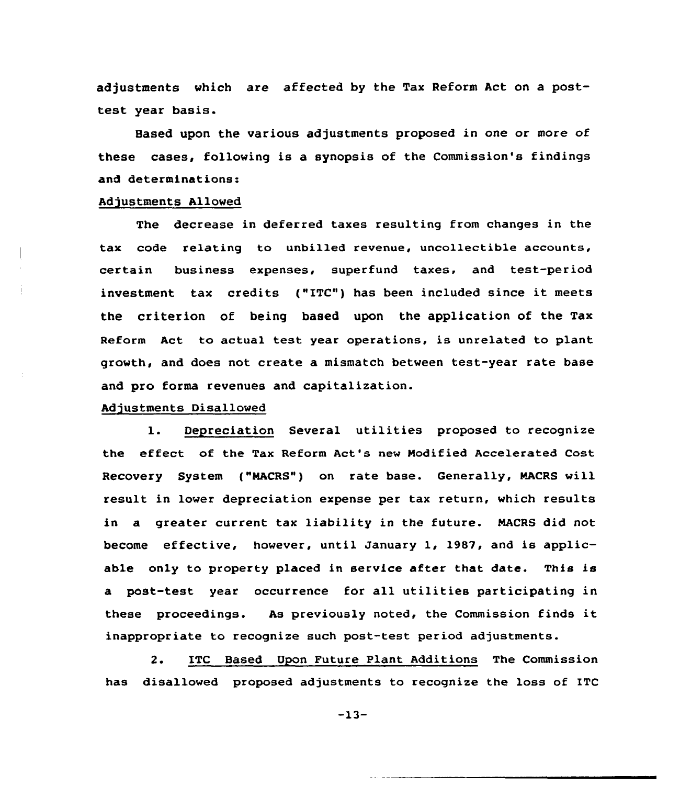adjustments which are affected by the Tax Reform Act on a posttest year basis.

Based upon the various adjustments proposed in one or more of these cases, following is a synopsis of the Commission's findings and determinations:

#### Adjustments Allowed

The decrease in deferred taxes resulting from changes in the tax code relating to unbilled revenue, uncollectible accounts, certain business expenses, superfund taxes, and test-period investment tax credits ("ITC") has been included since it meets the criterion of being based upon the application of the Tax Reform Act to actual test year operations, is unrelated to plant growth, and does not create a mismatch between test-year rate base and pro forma revenues and capitalization.

#### Adjustments Disallowed

l. Depreciation Several utilities proposed to recognize the effect of the Tax Reform Act's new Modified Accelerated Cost Recovery System ("MACRS") on rate base. Generally, RACRS will result in lower depreciation expense per tax return, which results in a greater current tax liability in the future. NACRS did not become effective, however, until January 1, 1987, and is applicable only to property placed in service after that date. This is a past-test year occurrence for all utilities participating in these proceedings. As previously noted, the Commission finds it inappropriate to recognize such post-test period adjustments.

2. ITC Based Upon Future Plant Additions The Commission has disallowed proposed adjustments to recognize the loss of ITC

-13-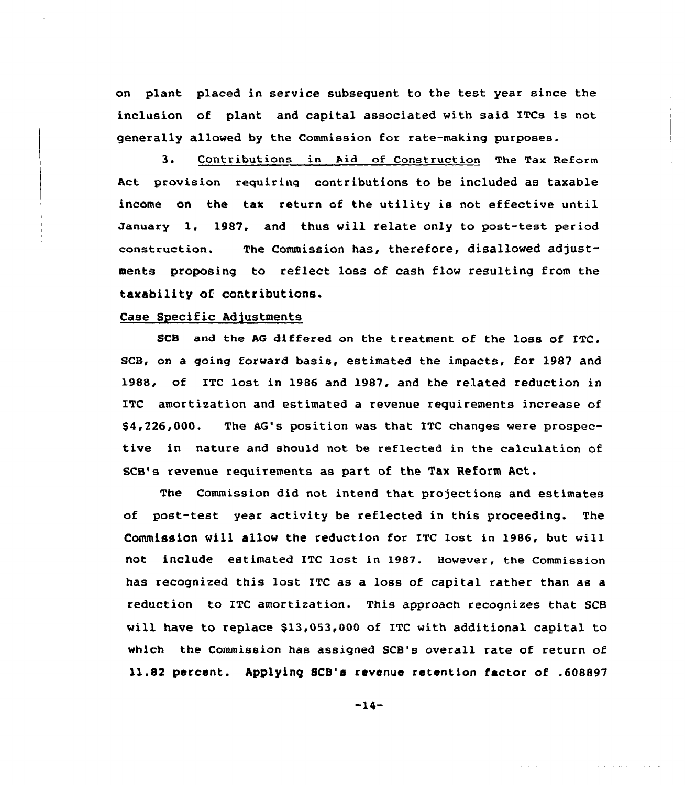on plant placed in service subsequent to the test year since the inclusion of plant and capital associated with said ITCs is not generally allowed by the Commission for rate-making purposes.

3. Contributions in Aid of Construction The Tax Reform Act provision requiring contributions to be included as taxable income on the tax return of the utility is not effective until January 1, 1987, and thus will relate only to post-test period construction. The Commission has, therefore, disallowed adjustments proposing to reflect loss of cash flow resulting from the taxability of contributions.

#### Case Specific Adjustments

SCB and the AG differed on the treatment of the loss of ITC. SCB, on a going forward basis, estimated the impacts, for 1987 and 1988, of ITC lost in 1986 and 1987, and the related reduction in ITC amortization and estimated a revenue requirements increase of \$4,226,000. The AG's position was that ITC changes were prospective in nature and should not be reflected in the calculation of SCB's revenue requirements as part of the Tax Reform Act.

The Commission did not intend that projections and estimates of post-test year activity be reflected in this proceeding. The Commission will allow the reduction for ITC lost in 1986, but will not include estimated ITC lost in 1987. However, the Commission has recognized this lost ITC as a loss of capital rather than as a reduction to ITC amortization. This approach recognizes that SCB will have to replace \$13,053,000 of ITC with additional capital to which the Commission has assigned SCB's overall rate of return of ll.82 percent. Applying SCB'a revenue retention factor of .608897

 $-14-$ 

**Contractor**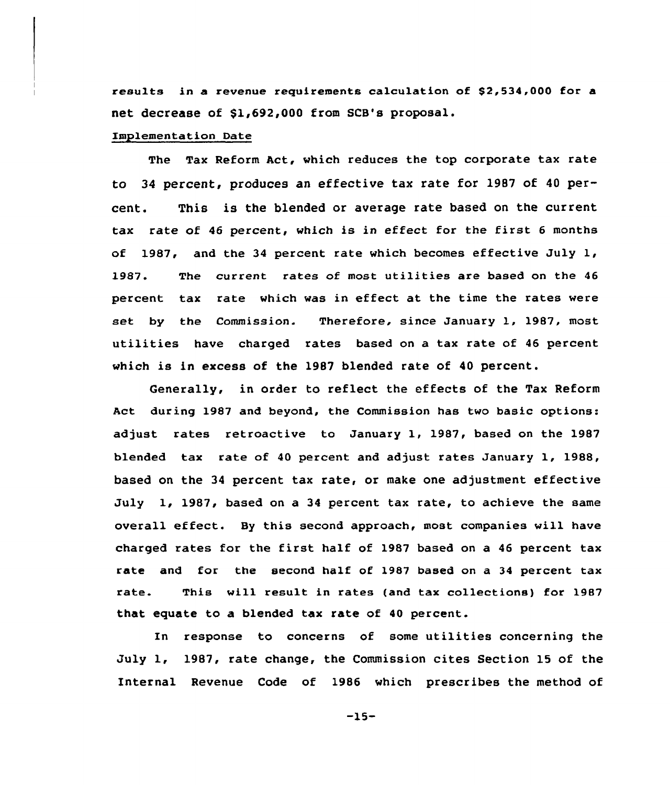results in a revenue requirements calculation of \$2,534,000 for a net decrease of \$1,692,000 from SCB's proposal.

#### Implementation Date

The Tax Reform Act, which reduces the top corporate tax rate to 34 percent, produces an effective tax rate for 1987 of 40 percent. This is the blended or average rate based on the current tax rate of <sup>46</sup> percent, which is in effect for the first <sup>6</sup> months of 1987, and the 34 percent rate which becomes effective July  $1$ , 1987. The current rates of most utilities are based on the <sup>46</sup> percent tax rate which was in effect, at the time the rates were set by the Commission. Therefore, since January 1, 1987, most utilities have charged rates based on a tax rate of <sup>46</sup> percent which is in excess of the 1987 blended rate of 40 percent.

Generally, in order to reflect the effects of the Tax Reform Act during 1987 and beyond, the Commission has two basic options: adjust rates retroactive to January 1, 1987, based on the 1987 blended tax rate of 40 percent and adjust rates January 1, 1988, based on the 34 percent tax rate, or make one adjustment effective July 1, 1987, based on a <sup>34</sup> percent tax rate, to achieve the same overall effect. By this second approach, most companies will have charged rates for the first half of 1987 based on a <sup>46</sup> percent tax rate and for the second half of 1987 based on a 34 percent tax rate. This will result in rates (and tax collections) for 1987 that equate to a blended tax rate of 40 percent.

In response to concerns of some utilities concerning the July 1, 1987, rate change, the Commission cites Section 15 of the Internal Revenue Code of 1986 which prescribes the method of

-15-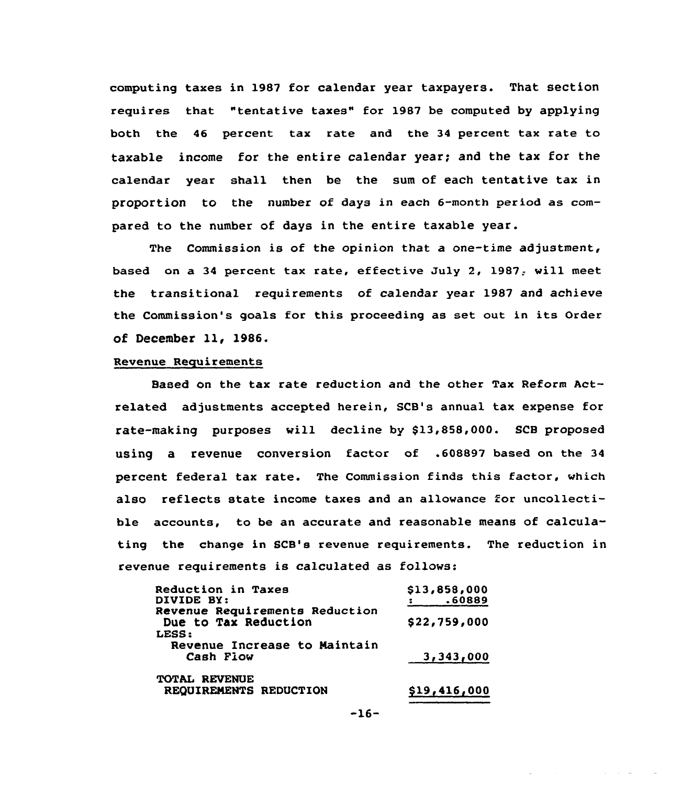computing taxes in 1987 for calendar year taxpayers. That section requires that "tentative taxes" for 1987 be computed by applying both the 46 percent tax rate and the 34 percent tax rate to taxable income for the entire calendar year; and the tax for the calendar year shall then be the sum of each tentative tax in proportion to the number of days in each 6-month period as compared to the number of days in the entire taxable year.

The Commission is of the opinion that a one-time adjustment, based on a 34 percent tax rate, effective July 2, 1987; will meet the transitional requirements of calendar year 1987 and achieve the Commission's goals for this proceeding as set out in its Order of December ll, 1986.

#### Revenue Requirements

Based on the tax rate reduction and the other Tax Reform Actrelated adjustments accepted herein, SCB's annual tax expense for rate-making purposes will decline by \$13,858,000. SCB proposed using a revenue conversion factor of .608897 based on the 34 percent federal tax rate. The Commission finds this factor, which also reflects state income taxes and an allowance for uncollectible accounts, to be an accurate and reasonable means of calculating the change in SCB's revenue requirements. The reduction in revenue requirements is calculated as follows:

| Reduction in Taxes<br>DIVIDE BY:                       | \$13,858,000<br>.60889 |
|--------------------------------------------------------|------------------------|
| Revenue Requirements Reduction<br>Due to Tax Reduction | \$22,759,000           |
| LESS:                                                  |                        |
| Revenue Increase to Maintain<br>Cash Fiow              | 3,343,000              |
| <b>TOTAL REVENUE</b><br>REQUIREMENTS REDUCTION         | \$19,416,000           |

$$
-16-
$$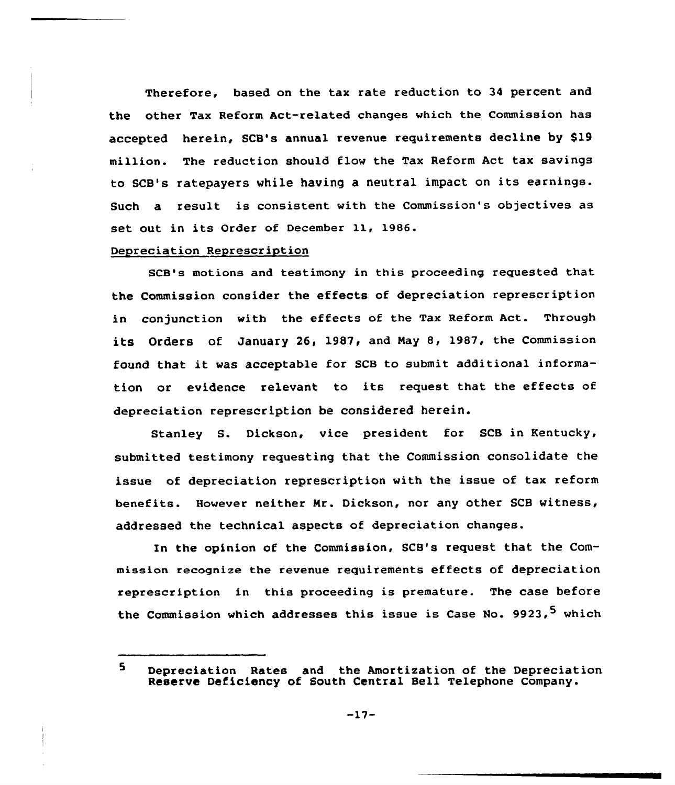Therefore, based on the tax rate reduction to 34 percent and the other Tax Reform Act-related changes which the Commission has accepted herein, SCB's annual revenue requirements decline by \$19 million. The reduction should flow the Tax Reform Act tax savings to SCB's ratepayers while having <sup>a</sup> neutral impact on its earnings. Such a result is consistent with the Commission's objectives as set out in its Order of December ll, 1986.

## Depreciation Represcription

SCB's motions and testimony in this proceeding requested that the Commission consider the effects of depreciation represcription in conjunction with the effects of the Tax Reform Act. Through its Orders of January 26, 1987, and Nay 8, 1987, the Commission found that it was acceptable for SGB to submit additional information or evidence relevant to its request that, the effects of depreciation represcription be considered herein.

Stanley S. Dickson, vice president for SCB in Kentucky, submitted testimony requesting that the Commission consolidate the issue of depreciation represcription with the issue of tax reform benefits. However neither Nr. Dickson, nor any other SCB witness, addressed the technical aspects of depreciation changes.

In the opinion of the Commission, SCB's request that the Commission recognize the revenue requirements effects of depreciation represcription in this proceeding is premature. The case before the Commission which addresses this issue is Case No. 9923,<sup>5</sup> which

<sup>5</sup> Depreciation Rates and the Amortization of the Depreciation Reserve Deficiency of South Central Bell Telephone Company.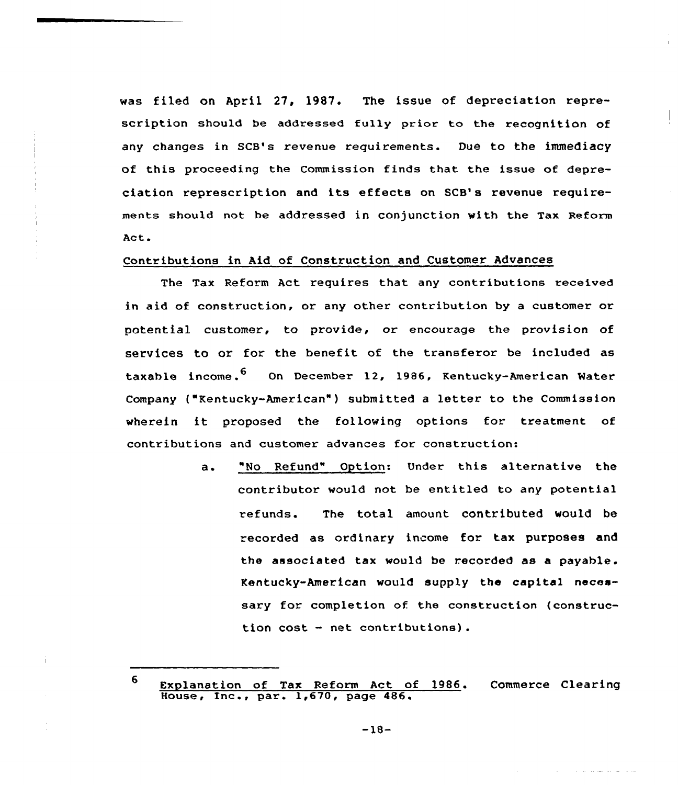was filed on Apxil 27, 1987. The issue of depreciation represcription should be addressed fully prior to the recognition of any changes in SCB's revenue requirements. Due to the immediacy of this proceeding the Commission finds that the issue of depreciation represcription and its effects on SCB' revenue requirements should not be addressed in conjunction with the Tax Reform Act.

## Contributions in Aid of Construction and Customer Advances

The Tax Reform Act requires that any contributions received in aid of construction, or any other contribution by a customer or potential customer, to provide, or encourage the provision of services to or for the benefit of the transferor be included as taxable income.<sup>6</sup> On December 12, 1986, Kentucky-American Water Company ("Kentucky-American") submitted a letter to the Commission wherein it proposed the following options for treatment of contributions and customer advances for construction:

> "No Refund" Option: Under this alternative the  $a \cdot$ contxibutor would not be entitled to any potential refunds. The total amount contributed would be recorded as ordinary income for tax purposes and the associated tax would be recoxded as a payable. Kentucky-American would supply the capital necessary for completion of the construction (construction cost — net contributions).

<sup>6</sup> Explanation of Tax Reform Act of 1986. Commerce Clearin Expranation of lax Reform ACC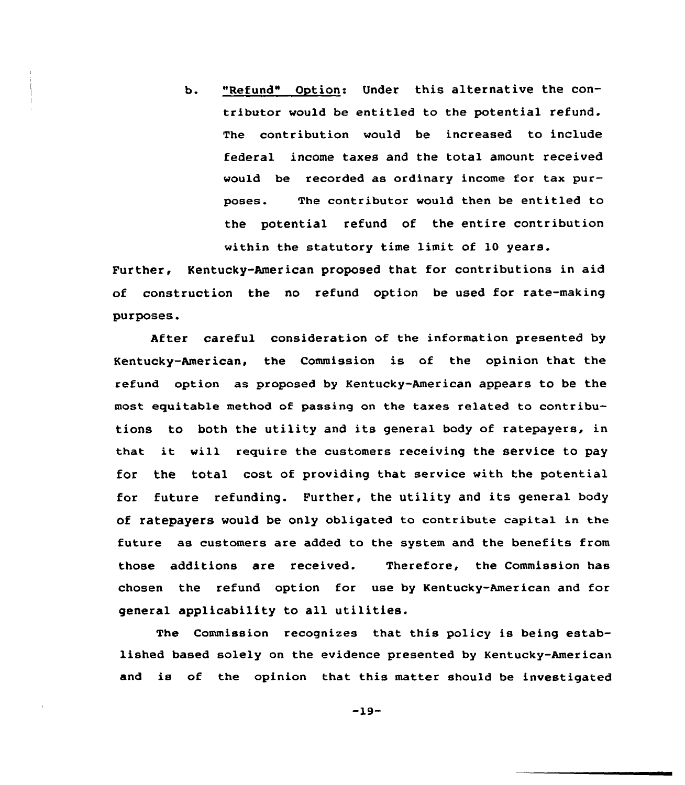b. "Refund" Option: Under this alternative the contributor would be entitled to the potential refund. The contribution would be increased to include federal income taxes and the total amount received would be recorded as ordinary income for tax purposes. The contributor would then be entitled to the potential refund of the entire contribution within the statutory time limit of 10 years.

Further, Kentucky-American proposed that for contributions in aid of construction the no refund option be used for rate-making purposes

After careful consideration of the information presented by Kentucky-American, the Commission is of the opinion that the refund option as proposed by Kentucky-American appears to be the most equitable method of passing an the taxes re1ated to contributions to both the utility and its general body of ratepayers, in that it vill require the customers receiving the service to pay for the total cost of providing that service with the potential for future refunding. Further, the utility and its general body of ratepayers would be only obligated to contribute capital in the future as customers are added to the system and the benefits from those additions are received. Therefore, the Commission has chosen the refund option for use by Kentucky-American and for general applicability to all utilities.

The Commission recognizes that this policy is being established based solely on the evidence presented by Kentucky-American and is of the opinion that this matter should be investigated

 $-19-$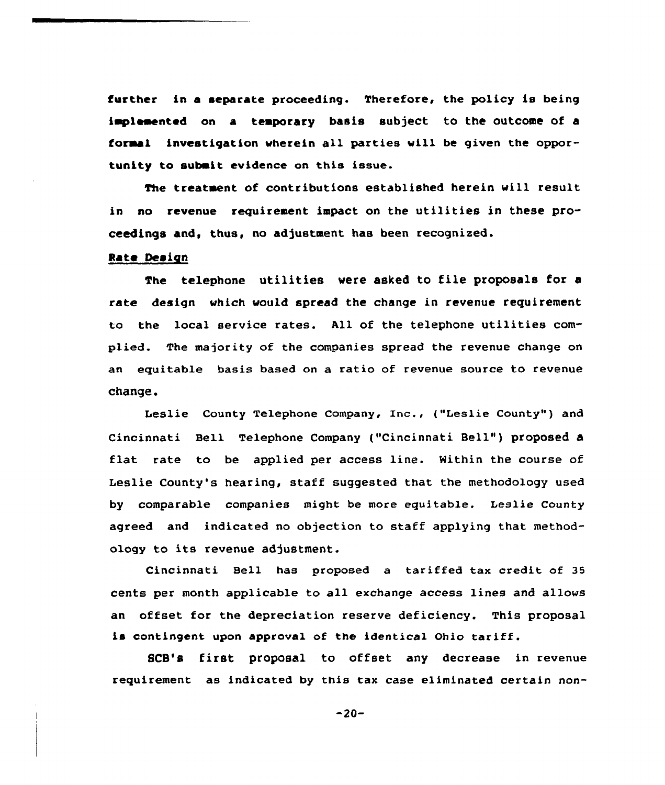further in a separate proceeding. Therefore, the policy is being implemented on a temporary basis subject to the outcome of a foraal investigation wherein all parties will be given the opportunity to submit evidence on this issue.

The treatment of contributions established herein will result in no revenue requirement impact on the utilities in these proceedings and, thus, no adjustment has been recognised.

#### Rate Design

The telephone utilities vere asked to file proposals for <sup>a</sup> rate design which would spread the change in revenue requirement to the local service rates. All of the telephone utilities complied. The majority of the companies spread the revenue change on an equitable basis based on a ratio of revenue source to revenue change.

Leslie County Telephone Company, Inc., ("Leslie County") and Cincinnati Bell Telephone Company ("Cincinnati Bell" ) proposed <sup>a</sup> flat rate to be applied per access line. Within the course of Leslie County's hearing, staff suggested that the methodology used by comparable companies might be more equitable. Leslie County agreed and indicated no objection to staff applying that methodology to its revenue adjustment.

Cincinnati Bell has proposed a tariffed tax credit of 35 cents per month applicable to all exchange access lines and allows an offset for the depreciation reserve deficiency. This proposal is contingent upon approval of the identical Ohio tariff.

SCB's first proposal to offset any decrease in revenue requirement as indicated by this tax case eliminated certain non-

 $-20-$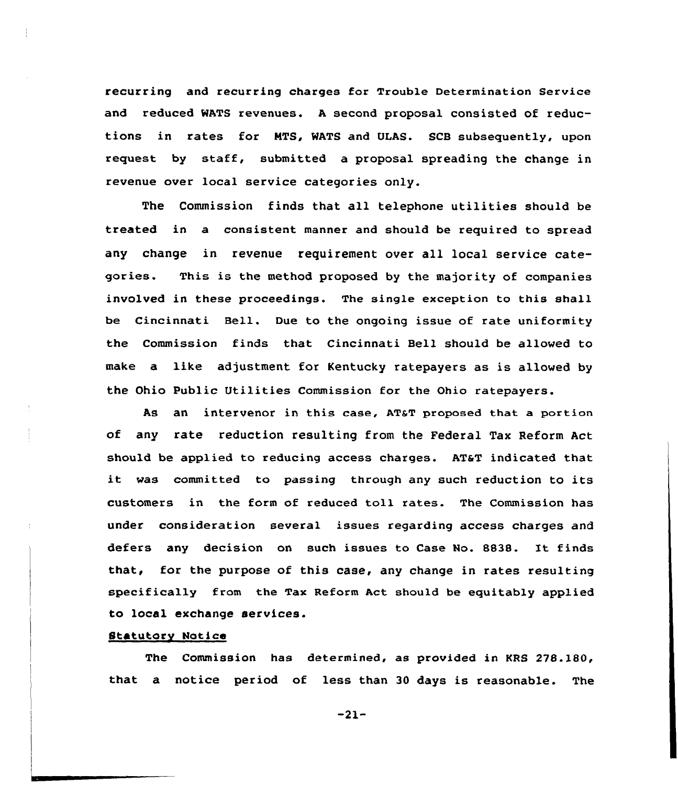recurring and recurring charges for Trouble Determination Service and reduced WATS revenues. <sup>A</sup> second proposal consisted of reductions in rates for MTS, WATS and ULAS. SCB subsequently, upon request by staff, submitted a proposal spreading the change in revenue over local service categories only.

The Commission finds that all telephone utilities should be treated in a consistent manner and should be required to spread any change in revenue requirement over all local service categories. This is the method proposed by the majority of companies involved in these proceedings. The single exception to this shall be Cincinnati Bell. Due to the ongoing issue of rate uniformity the Commission finds that Cincinnati Bell should be allowed to make a like adjustment for Kentucky ratepayers as is allowed by the Ohio Public Utilities Commission for the Ohio ratepayers.

As an intervenor in this case, AT&T proposed that a portion of any rate reduction resulting from the Federal Tax Reform Act should be applied to reducing access charges. AT&T indicated that it was committed to passing through any such reduction to its customers in the form of reduced toll rates. The Commission has under consideration several issues regarding access charges and defers any decision on such issues to Case No. 8838. It finds that, for the purpose of this case, any change in rates resulting specifically from the Tax Reform Act should be equitably applied to local exchange services.

#### Statutory Notice

The Commission has determined, as provided in KRS 278.180, that a notice period of less than 30 days is reasonable. The

-21-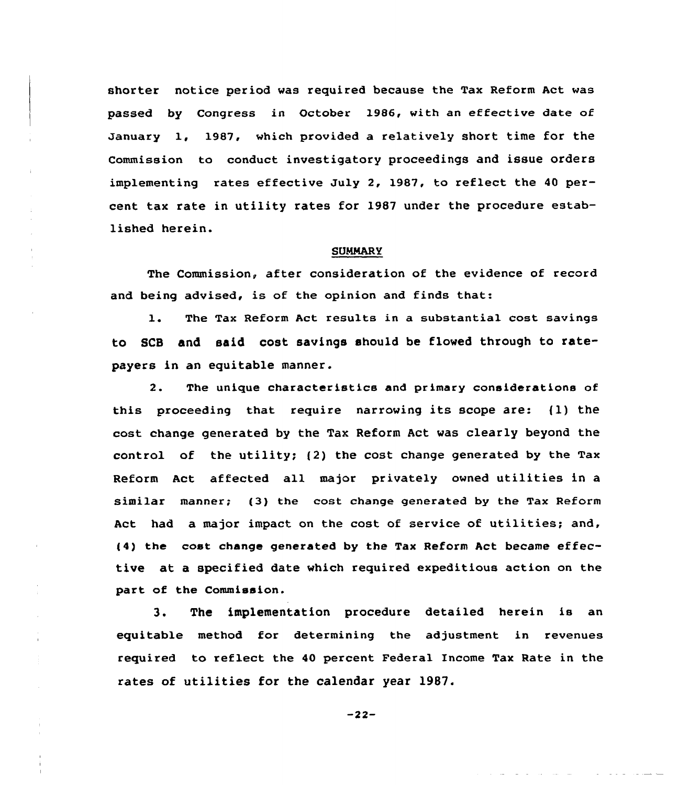shorter notice period was required because the Tax Reform Act was passed by Congress in October 1986, with an effective date of January 1, 1987, which provided a relatively short time for the Commission to conduct investigatory proceedings and issue orders implementing rates effective July 2, 1987, to reflect the <sup>40</sup> percent tax rate in utility rates for l987 under the procedure established herein.

#### **SUMMARY**

The Commission, after consideration of the evidence of record and being advised, is of the opinion and finds that:

1. The Tax Reform Act results in <sup>a</sup> substantial cost savings to SCB and said cost savings should be flowed through to ratepayers in an equitable manner.

2. The unique characteristics and primary considerations of this proceeding that require narrowing its scope are: {1) the cost change generated by the Tax Reform Act was clearly beyond the control of the utility; {2) the cost change generated by the Tax Reform Act affected all major privately owned utilities in a similar manner; {3) the cost change generated by the Tax Reform Act had a major impact on the cost of service of utilities; and, (4) the cost change generated by the Tax Reform Act became effective at a specified date which required expeditious action on the part of the Commission.

3. The implementation procedure detailed herein is an equitable method for determining the adjustment in revenues required to reflect the 40 percent Federal Income Tax Rate in the rates of utilities for the calendar year 1987.

 $-22-$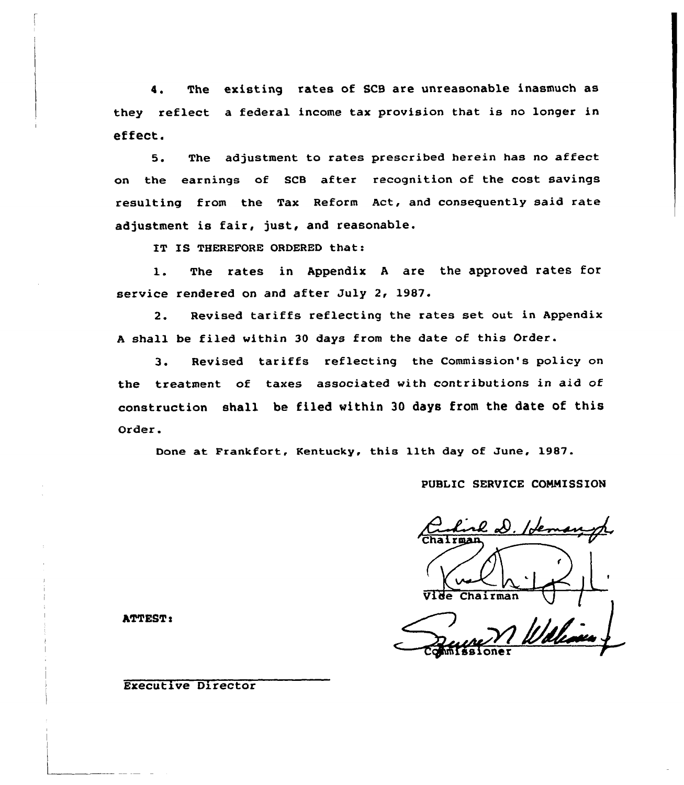4. The existing rates of SCB are unreasonable inasmuch as they reflect a federal income tax provision that is no longer in effect.

5. The adjustment to rates prescribed herein has no affect on the earnings of SCB after recognition of the cost savings resulting from the Tax Reform Act, and consequently said rate adjustment is fair, just, and reasonable.

IT IS THEREFORE ORDERED that:

1. The rates in Appendix <sup>A</sup> are the approved rates for service rendered on and after July 2, 1987.

2. Revised tariffs reflecting the rates set out in Appendix <sup>A</sup> shall be filed within 30 days from the date of this Order.

3. Revised tariffs reflecting the Commission's policy on the treatment of taxes associated with contributions in aid of construction shall be filed within 30 days from the date of this Order.

Done at Frankfort, Kentucky, this lith day of June, 1987.

PUBLIC SERVICE COMMISSION

Ji Chairman

ATTEST:

Executive Director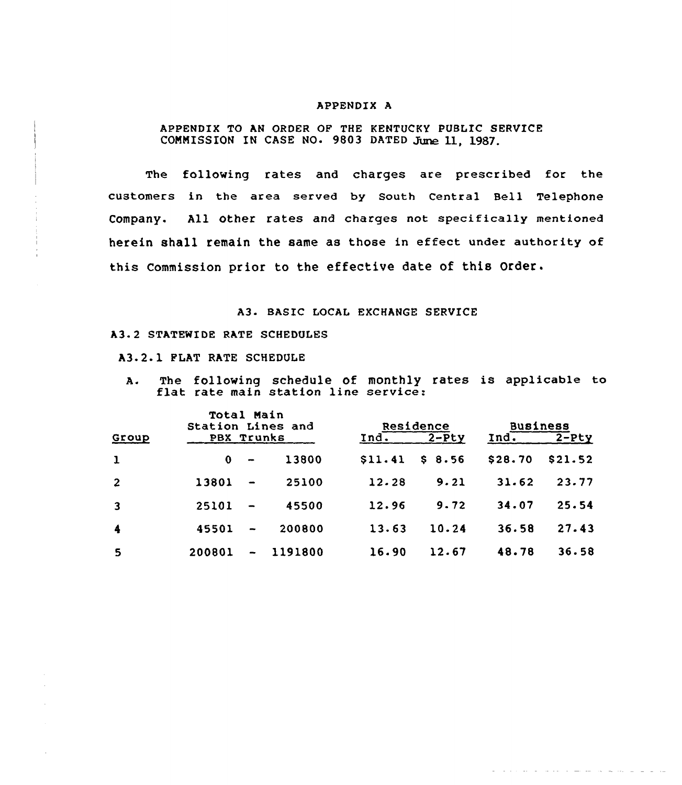#### APPENDIX A

APPENDIX TO AN ORDER OF THE KENTUCKY PUBLIC SERVICE COMMISSION IN CASE NO. 9803 DATED June 11, 1987.

The following rates and charges are prescribed for the customers in the area served by South Central Bell Telephone Company. All other rates and charges not specifically mentioned herein shall remain the same as those in effect under authority of this Commission prior to the effective date of this Order.

## A3. BASIC LOCAL EXCHANGE SERVICE

#### A3.2 STATEWIDE RATE SCHEDULES

A3.2.1 FLAT RATE SCHEDULE

A. The following schedule of monthly rates is applicable to flat rate main station line service:

|                         | <b>Total Main</b><br>Station Lines and |                          |         |         | Residence | <b>Business</b> |         |
|-------------------------|----------------------------------------|--------------------------|---------|---------|-----------|-----------------|---------|
| Group                   | PBX Trunks                             |                          |         | Ind.    | $2-Pty$   | Ind.            | $2-Pty$ |
| $\mathbf{1}$            | $\bf{0}$                               | $\overline{\phantom{0}}$ | 13800   | \$11.41 | \$8.56    | \$28.70         | \$21.52 |
| $\overline{2}$          | 13801                                  |                          | 25100   | 12.28   | 9.21      | 31.62           | 23.77   |
| $\overline{\mathbf{3}}$ | 25101                                  |                          | 45500   | 12.96   | 9.72      | 34.07           | 25.54   |
| $\blacktriangleleft$    | 45501                                  |                          | 200800  | 13.63   | 10.24     | 36.58           | 27.43   |
| 5                       | 200801                                 |                          | 1191800 | 16.90   | 12.67     | 48.78           | 36.58   |

the second companies of the companies of the companies of the second companies of the companies of the companies of the companies of the companies of the companies of the companies of the companies of the companies of the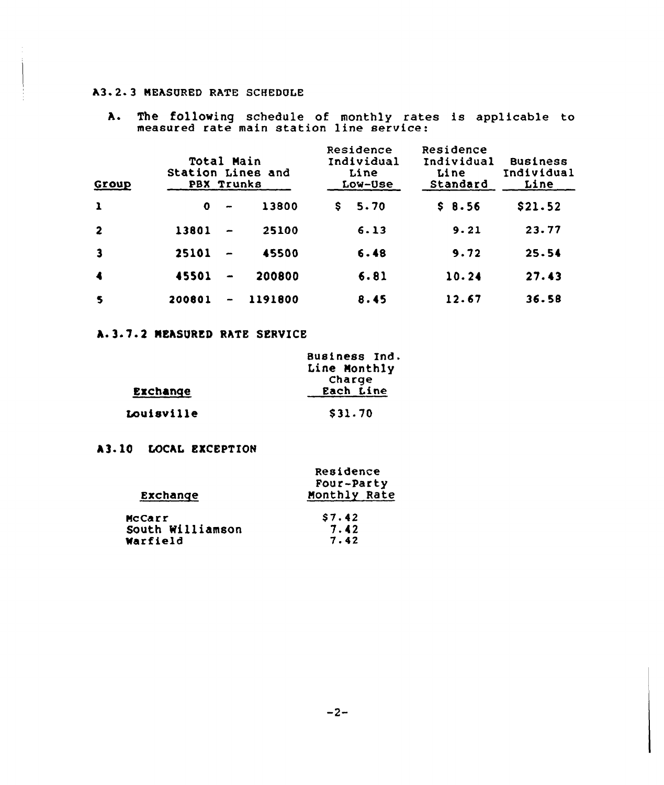## A3.2.3 MEASURED RATE SCHEDOLE

A. The following schedule of monthly rates is applicable to measured rate main station line service:

| Group                   | Total Main<br>Station Lines and<br>PBX Trunks |                          |         | Residence<br>Individual<br>Line<br>Low-Use | Residence<br>Individual<br>Line<br>Standard | <b>Business</b><br>Individual<br>Line |
|-------------------------|-----------------------------------------------|--------------------------|---------|--------------------------------------------|---------------------------------------------|---------------------------------------|
| $\mathbf{1}$            | $\mathbf 0$                                   | $\overline{\phantom{a}}$ | 13800   | 5.70<br>s                                  | \$8.56                                      | \$21.52                               |
| $\overline{\mathbf{2}}$ | 13801                                         |                          | 25100   | 6.13                                       | 9.21                                        | 23.77                                 |
| $\overline{\mathbf{3}}$ | 25101                                         |                          | 45500   | 6.48                                       | 9.72                                        | 25.54                                 |
| $\blacktriangleleft$    | 45501                                         |                          | 200800  | 6.81                                       | 10.24                                       | 27.43                                 |
| $\mathbf{s}$            | 200801                                        | $\bullet$                | 1191800 | 8.45                                       | 12.67                                       | 36.58                                 |

# A.3.7.2 NEASQRED RATE SERVICE

|            | Business Ind. |
|------------|---------------|
|            | Line Monthly  |
|            | Charge        |
| Exchange   | Each Line     |
| Louisville | \$31.70       |

# A3- 10 LOCAL EXCEPTION

|                  | Residence    |
|------------------|--------------|
|                  | Four-Party   |
| Exchange         | Monthly Rate |
| McCarr           | \$7.42       |
| South Williamson | 7.42         |
| Warfield         | 7.42         |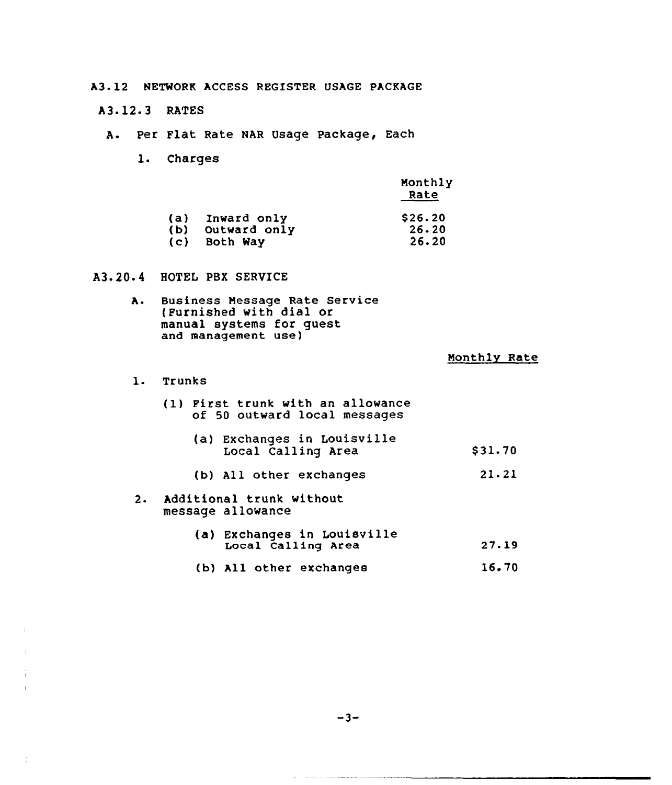A3-12 NETWORK ACCESS REGISTER USAGE PACKAGE

A3.12.3 RATES

- A. Per Flat Rate NAR Usage Package, Each
	- 1. Charges

|              | Monthly<br>Rate |
|--------------|-----------------|
| Inward only  | \$26.20         |
| Outward only | 26.20           |
| Both Way     | 26.20           |
|              |                 |

## A3. 20. 4 HOTEL PBX SERVICE

A. Business Message Rate Service (Furnished with dial or manual systems for guest and management use)

#### Monthly Rate

1. Trunks

|  | (1) First trunk with an allowance |  |
|--|-----------------------------------|--|
|  | of 50 outward local messages      |  |

- (a) Exchanges in Louisville Local Calling Area \$ 31.70
- (b) All other exchanges 21.21
- 2. Additional trunk without message allowance
	- (a) Exchanges in Louisville Local Calling Area  $27.19$
	- (b) All other exchanges 16 <sup>~</sup> 70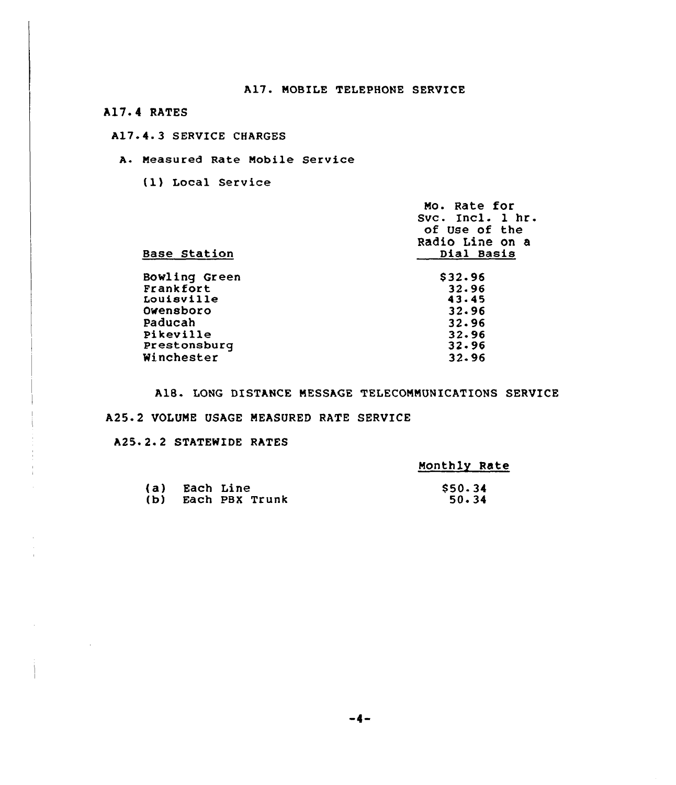A17.4 RATES

## A17.4.3 SERVICE CHARGES

#### A. Measured Rate Mobile Service

(1) Local Service

| Mo. Rate for<br>Svc. Incl. 1 hr<br>of Use of the<br>Radio Line on a<br>Dial Basis |
|-----------------------------------------------------------------------------------|
| \$32.96                                                                           |
| 32.96                                                                             |
| 43.45                                                                             |
| 32.96                                                                             |
| 32.96                                                                             |
| 32.96                                                                             |
| 32.96                                                                             |
| 32.96                                                                             |
|                                                                                   |

A18. LONG DISTANCE MESSAGE TELECOMMUNICATIONS SERVICE

#### A25.2 VOLUME USAGE MEASURED RATE SERVICE

A25. 2. <sup>2</sup> STATEWIDE RATES

 $\mathcal{A}^{\mathcal{A}}$ 

 $\mathcal{L}^{\text{max}}_{\text{max}}$ 

| Monthly Rate |
|--------------|
|--------------|

| (a) Each Line |                    | \$50.34 |
|---------------|--------------------|---------|
|               | (b) Each PBX Trunk | 50.34   |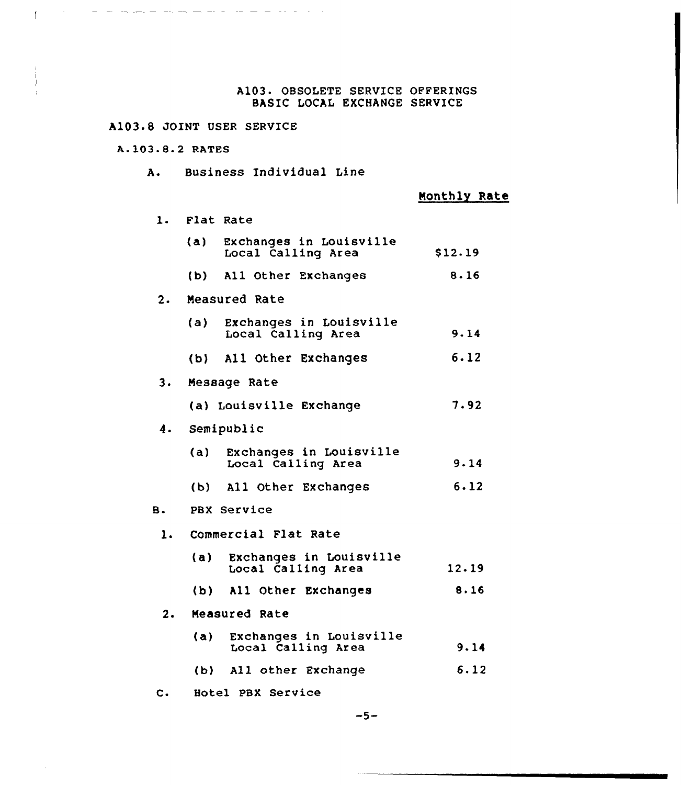## A103. OBSOLETE SERVICE OFFERINGS BASIC LOCAL EXCHANGE SERVICE

# A103 8 JOINT USER SERVICE

 $\mathcal{A}=\mathcal{A}$  , where  $\mathcal{A}=\mathcal{A}=\mathcal{A}=\mathcal{A}$  ,  $\mathcal{A}=\mathcal{A}=\mathcal{A}$  ,  $\mathcal{A}=\mathcal{A}$ 

## A-103.8.2 RATES

 $\mathbf{L}^{(1)}$  and  $\mathbf{L}^{(2)}$ 

A. Business Individual Line

Monthly Rate

| 1.        |       | Flat Rate                                     |         |
|-----------|-------|-----------------------------------------------|---------|
|           | (a)   | Exchanges in Louisville<br>Local Calling Area | \$12.19 |
|           |       | (b) All Other Exchanges                       | 8.16    |
| 2.        |       | Measured Rate                                 |         |
|           | (a) — | Exchanges in Louisville<br>Local Calling Area | 9.14    |
|           |       | (b) All Other Exchanges                       | 6.12    |
| 3.        |       | Message Rate                                  |         |
|           |       | (a) Louisville Exchange                       | 7.92    |
| 4.        |       | Semipublic                                    |         |
|           | (a)   | Exchanges in Louisville<br>Local Calling Area | 9.14    |
|           |       | (b) All Other Exchanges                       | 6.12    |
| <b>B.</b> |       | PBX Service                                   |         |
| 1.        |       | Commercial Flat Rate                          |         |
|           | (a)   | Exchanges in Louisville<br>Local Calling Area | 12.19   |
|           | (b)   | All Other Exchanges                           | 8.16    |
| 2.        |       | Measured Rate                                 |         |
|           | (a)   | Exchanges in Louisville<br>Local Calling Area | 9.14    |
|           | (b)   | All other Exchange                            | 6.12    |

C. Hotel PBX Service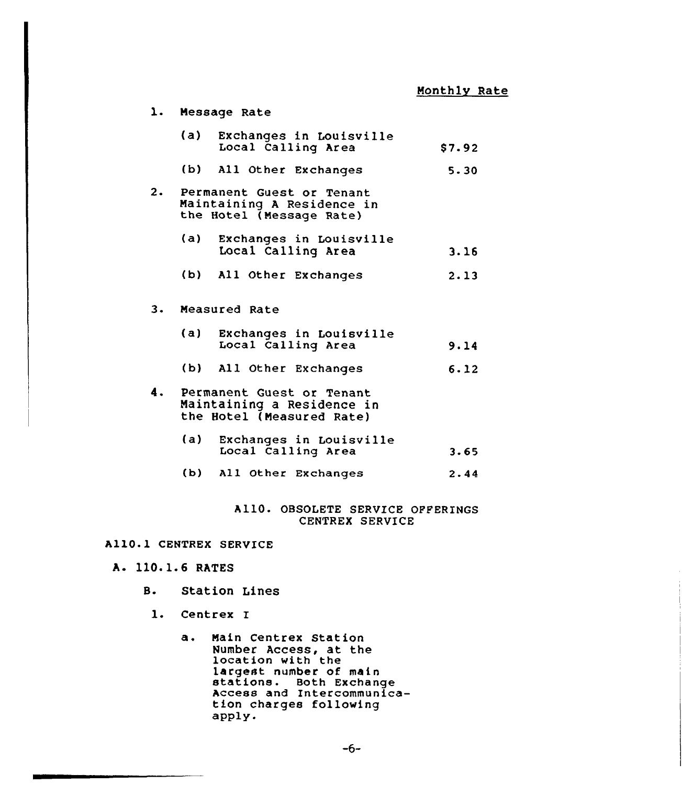|    | 1. Message Rate                                                                      |        |
|----|--------------------------------------------------------------------------------------|--------|
|    | (a)<br>Exchanges in Louisville<br>Local Calling Area                                 | \$7.92 |
|    | (b) All Other Exchanges                                                              | 5.30   |
| 2. | Permanent Guest or Tenant<br>Maintaining A Residence in<br>the Hotel (Message Rate)  |        |
|    | (a)<br>Exchanges in Louisville<br>Local Calling Area                                 | 3.16   |
|    | (b) All Other Exchanges                                                              | 2.13   |
| 3. | Measured Rate                                                                        |        |
|    | (a) Exchanges in Louisville<br>Local Calling Area                                    | 9.14   |
|    | (b) All Other Exchanges                                                              | 6.12   |
| 4. | Permanent Guest or Tenant<br>Maintaining a Residence in<br>the Hotel (Measured Rate) |        |
|    | (a)<br>Exchanges in Louisville<br>Local Calling Area                                 | 3.65   |
|    | (b) All Other Exchanges                                                              | 2.44   |
|    |                                                                                      |        |

# A110. OBSOLETE SERVICE OPPERINGS CENTREX SERVICE

## A110.1 CENTREX SERVICE

- A. 110.1.6 RATES
	- B. Station Lines
	- 1. Centrex I
		- a. Main Centrex Station Number Access, at the<br>location with the<br>largest number of main<br>stations. Both Exchange Access and Intercommunica- tion charges following apply.